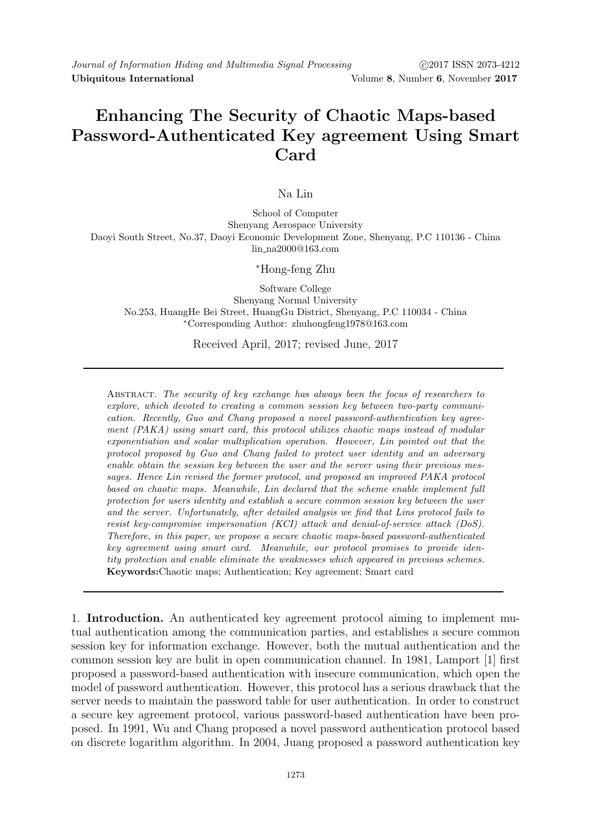# Enhancing The Security of Chaotic Maps-based Password-Authenticated Key agreement Using Smart Card

# Na Lin

School of Computer Shenyang Aerospace University Daoyi South Street, No.37, Daoyi Economic Development Zone, Shenyang, P.C 110136 - China lin na2000@163.com

### <sup>∗</sup>Hong-feng Zhu

Software College Shenyang Normal University No.253, HuangHe Bei Street, HuangGu District, Shenyang, P.C 110034 - China <sup>∗</sup>Corresponding Author: zhuhongfeng1978@163.com

# Received April, 2017; revised June, 2017

Abstract. The security of key exchange has always been the focus of researchers to explore, which devoted to creating a common session key between two-party communication. Recently, Guo and Chang proposed a novel password-authentication key agreement (PAKA) using smart card, this protocol utilizes chaotic maps instead of modular exponentiation and scalar multiplication operation. However, Lin pointed out that the protocol proposed by Guo and Chang failed to protect user identity and an adversary enable obtain the session key between the user and the server using their previous messages. Hence Lin revised the former protocol, and proposed an improved PAKA protocol based on chaotic maps. Meanwhile, Lin declared that the scheme enable implement full protection for users identity and establish a secure common session key between the user and the server. Unfortunately, after detailed analysis we find that Lins protocol fails to resist key-compromise impersonation (KCI) attack and denial-of-service attack (DoS). Therefore, in this paper, we propose a secure chaotic maps-based password-authenticated key agreement using smart card. Meanwhile, our protocol promises to provide identity protection and enable eliminate the weaknesses which appeared in previous schemes. Keywords:Chaotic maps; Authentication; Key agreement; Smart card

1. Introduction. An authenticated key agreement protocol aiming to implement mutual authentication among the communication parties, and establishes a secure common session key for information exchange. However, both the mutual authentication and the common session key are bulit in open communication channel. In 1981, Lamport [1] first proposed a password-based authentication with insecure communication, which open the model of password authentication. However, this protocol has a serious drawback that the server needs to maintain the password table for user authentication. In order to construct a secure key agreement protocol, various password-based authentication have been proposed. In 1991, Wu and Chang proposed a novel password authentication protocol based on discrete logarithm algorithm. In 2004, Juang proposed a password authentication key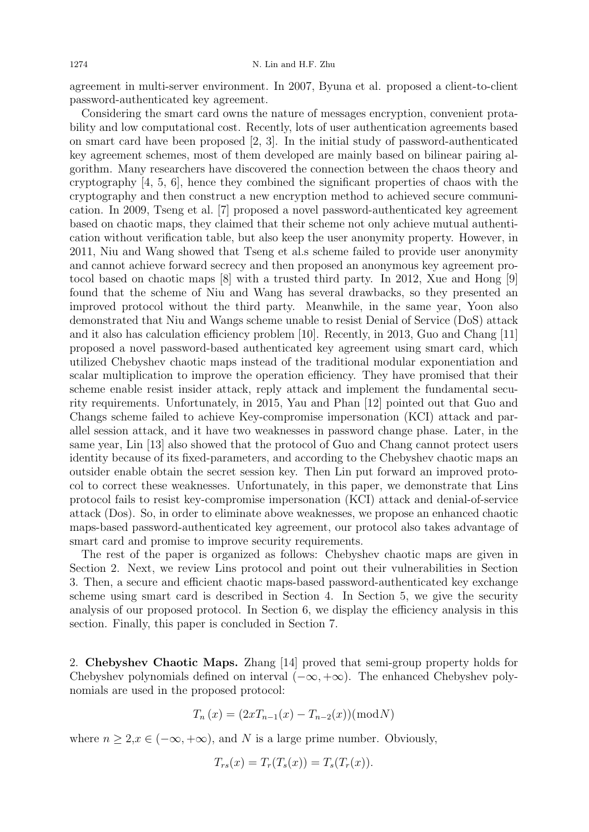agreement in multi-server environment. In 2007, Byuna et al. proposed a client-to-client password-authenticated key agreement.

Considering the smart card owns the nature of messages encryption, convenient protability and low computational cost. Recently, lots of user authentication agreements based on smart card have been proposed [2, 3]. In the initial study of password-authenticated key agreement schemes, most of them developed are mainly based on bilinear pairing algorithm. Many researchers have discovered the connection between the chaos theory and cryptography [4, 5, 6], hence they combined the significant properties of chaos with the cryptography and then construct a new encryption method to achieved secure communication. In 2009, Tseng et al. [7] proposed a novel password-authenticated key agreement based on chaotic maps, they claimed that their scheme not only achieve mutual authentication without verification table, but also keep the user anonymity property. However, in 2011, Niu and Wang showed that Tseng et al.s scheme failed to provide user anonymity and cannot achieve forward secrecy and then proposed an anonymous key agreement protocol based on chaotic maps [8] with a trusted third party. In 2012, Xue and Hong [9] found that the scheme of Niu and Wang has several drawbacks, so they presented an improved protocol without the third party. Meanwhile, in the same year, Yoon also demonstrated that Niu and Wangs scheme unable to resist Denial of Service (DoS) attack and it also has calculation efficiency problem [10]. Recently, in 2013, Guo and Chang [11] proposed a novel password-based authenticated key agreement using smart card, which utilized Chebyshev chaotic maps instead of the traditional modular exponentiation and scalar multiplication to improve the operation efficiency. They have promised that their scheme enable resist insider attack, reply attack and implement the fundamental security requirements. Unfortunately, in 2015, Yau and Phan [12] pointed out that Guo and Changs scheme failed to achieve Key-compromise impersonation (KCI) attack and parallel session attack, and it have two weaknesses in password change phase. Later, in the same year, Lin [13] also showed that the protocol of Guo and Chang cannot protect users identity because of its fixed-parameters, and according to the Chebyshev chaotic maps an outsider enable obtain the secret session key. Then Lin put forward an improved protocol to correct these weaknesses. Unfortunately, in this paper, we demonstrate that Lins protocol fails to resist key-compromise impersonation (KCI) attack and denial-of-service attack (Dos). So, in order to eliminate above weaknesses, we propose an enhanced chaotic maps-based password-authenticated key agreement, our protocol also takes advantage of smart card and promise to improve security requirements.

The rest of the paper is organized as follows: Chebyshev chaotic maps are given in Section 2. Next, we review Lins protocol and point out their vulnerabilities in Section 3. Then, a secure and efficient chaotic maps-based password-authenticated key exchange scheme using smart card is described in Section 4. In Section 5, we give the security analysis of our proposed protocol. In Section 6, we display the efficiency analysis in this section. Finally, this paper is concluded in Section 7.

2. Chebyshev Chaotic Maps. Zhang [14] proved that semi-group property holds for Chebyshev polynomials defined on interval  $(-\infty, +\infty)$ . The enhanced Chebyshev polynomials are used in the proposed protocol:

$$
T_n(x) = (2xT_{n-1}(x) - T_{n-2}(x))(\text{mod} N)
$$

where  $n \geq 2, x \in (-\infty, +\infty)$ , and N is a large prime number. Obviously,

$$
T_{rs}(x) = T_r(T_s(x)) = T_s(T_r(x)).
$$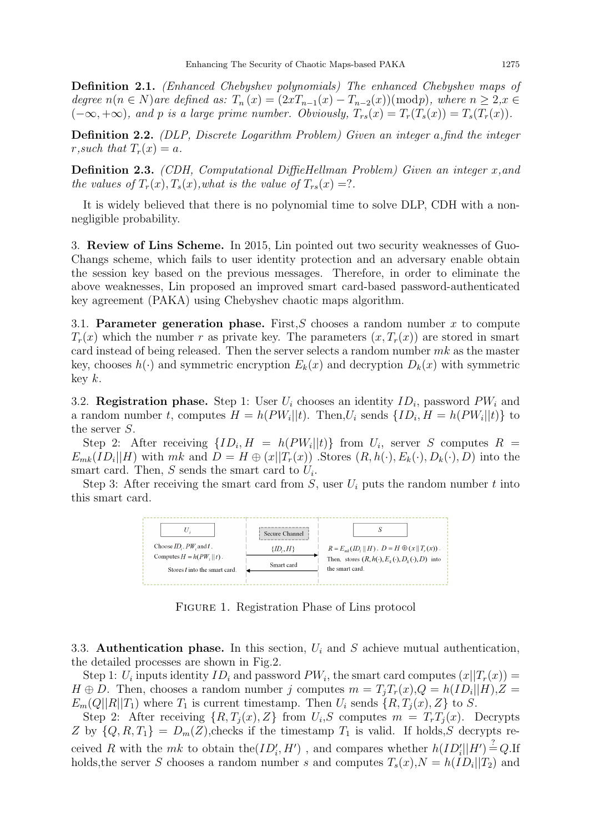Definition 2.1. (Enhanced Chebyshev polynomials) The enhanced Chebyshev maps of degree  $n(n \in N)$ are defined as:  $T_n(x) = (2xT_{n-1}(x) - T_{n-2}(x))(\text{mod }p)$ , where  $n \geq 2, x \in$  $(-\infty, +\infty)$ , and p is a large prime number. Obviously,  $T_{rs}(x) = T_r(T_s(x)) = T_s(T_r(x))$ .

Definition 2.2. (DLP, Discrete Logarithm Problem) Given an integer a,find the integer r, such that  $T_r(x) = a$ .

**Definition 2.3.** (CDH, Computational DiffieHellman Problem) Given an integer  $x$ , and the values of  $T_r(x)$ ,  $T_s(x)$ , what is the value of  $T_{rs}(x) = ?$ .

It is widely believed that there is no polynomial time to solve DLP, CDH with a nonnegligible probability.

3. Review of Lins Scheme. In 2015, Lin pointed out two security weaknesses of Guo-Changs scheme, which fails to user identity protection and an adversary enable obtain the session key based on the previous messages. Therefore, in order to eliminate the above weaknesses, Lin proposed an improved smart card-based password-authenticated key agreement (PAKA) using Chebyshev chaotic maps algorithm.

3.1. Parameter generation phase. First, S chooses a random number x to compute  $T_r(x)$  which the number r as private key. The parameters  $(x, T_r(x))$  are stored in smart card instead of being released. Then the server selects a random number  $mk$  as the master key, chooses  $h(\cdot)$  and symmetric encryption  $E_k(x)$  and decryption  $D_k(x)$  with symmetric key  $k$ .

3.2. **Registration phase.** Step 1: User  $U_i$  chooses an identity  $ID_i$ , password  $PW_i$  and a random number t, computes  $H = h(PW_i||t)$ . Then,  $U_i$  sends  $\{ID_i, H = h(PW_i||t)\}\$ to the server S.

Step 2: After receiving  $\{ID_i, H = h(PW_i||t)\}$  from  $U_i$ , server S computes  $R =$  $E_{mk}(ID_i||H)$  with  $mk$  and  $D = H \oplus (x||T_r(x))$ . Stores  $(R, h(\cdot), E_k(\cdot), D_k(\cdot), D)$  into the smart card. Then,  $S$  sends the smart card to  $U_i$ .

Step 3: After receiving the smart card from  $S$ , user  $U_i$  puts the random number t into this smart card.



Figure 1. Registration Phase of Lins protocol

3.3. Authentication phase. In this section,  $U_i$  and S achieve mutual authentication, the detailed processes are shown in Fig.2.

Step 1:  $U_i$  inputs identity  $ID_i$  and password  $PW_i$ , the smart card computes  $(x||T_r(x)) =$  $H \oplus D$ . Then, chooses a random number j computes  $m = T_j T_r(x)$ ,  $Q = h(ID_i||H)$ ,  $Z =$  $E_m(Q||R||T_1)$  where  $T_1$  is current timestamp. Then  $U_i$  sends  $\{R, T_i(x), Z\}$  to S.

Step 2: After receiving  $\{R, T_j(x), Z\}$  from  $U_i$ , S computes  $m = T_r T_j(x)$ . Decrypts Z by  $\{Q, R, T_1\} = D_m(Z)$ , checks if the timestamp  $T_1$  is valid. If holds, S decrypts received R with the  $mk$  to obtain the $(ID'_i, H')$ , and compares whether  $h(ID'_i||H') \stackrel{?}{=} Q$ . If holds, the server S chooses a random number s and computes  $T_s(x)$ ,  $N = h(ID_i||T_2)$  and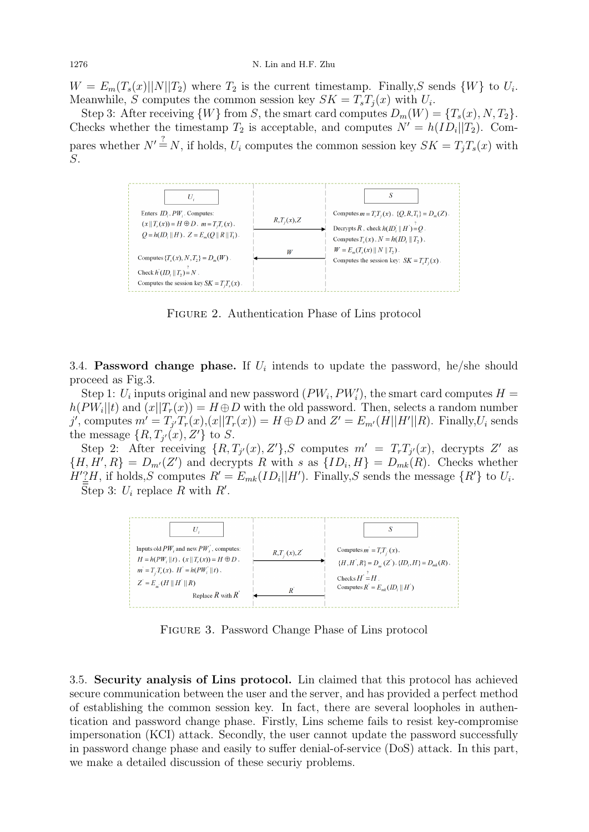$W = E_m(T_s(x)||N||T_2)$  where  $T_2$  is the current timestamp. Finally, S sends  $\{W\}$  to  $U_i$ . Meanwhile, S computes the common session key  $SK = T_sT_j(x)$  with  $U_i$ .

Step 3: After receiving  $\{W\}$  from S, the smart card computes  $D_m(W) = \{T_s(x), N, T_2\}.$ Checks whether the timestamp  $T_2$  is acceptable, and computes  $N' = h(ID_i||T_2)$ . Compares whether  $N' \stackrel{?}{=} N$ , if holds,  $U_i$  computes the common session key  $SK = T_jT_s(x)$  with S.



Figure 2. Authentication Phase of Lins protocol

3.4. Password change phase. If  $U_i$  intends to update the password, he/she should proceed as Fig.3.

Step 1:  $U_i$  inputs original and new password  $(PW_i, PW'_i)$ , the smart card computes  $H =$  $h(PW_i||t)$  and  $(x||T_r(x)) = H \oplus D$  with the old password. Then, selects a random number j', computes  $m' = T_{j'}T_r(x)$ , $(x||T_r(x)) = H \oplus D$  and  $Z' = E_{m'}(H||H'||R)$ . Finally, $U_i$  sends the message  $\{R, T_{j'}(x), Z'\}$  to S.

Step 2: After receiving  $\{R, T_{j'}(x), Z'\}$ , S computes  $m' = T_rT_{j'}(x)$ , decrypts Z' as  ${H, H', R} = D_{m'}(Z')$  and decrypts R with s as  ${ID_i, H} = D_{mk}(R)$ . Checks whether  $H'\underline{?}H$ , if holds,S computes  $R' = E_{mk}(ID_i||H')$ . Finally,S sends the message  $\{R'\}$  to  $U_i$ . Step 3:  $U_i$  replace R with R'.



Figure 3. Password Change Phase of Lins protocol

3.5. Security analysis of Lins protocol. Lin claimed that this protocol has achieved secure communication between the user and the server, and has provided a perfect method of establishing the common session key. In fact, there are several loopholes in authentication and password change phase. Firstly, Lins scheme fails to resist key-compromise impersonation (KCI) attack. Secondly, the user cannot update the password successfully in password change phase and easily to suffer denial-of-service (DoS) attack. In this part, we make a detailed discussion of these securiy problems.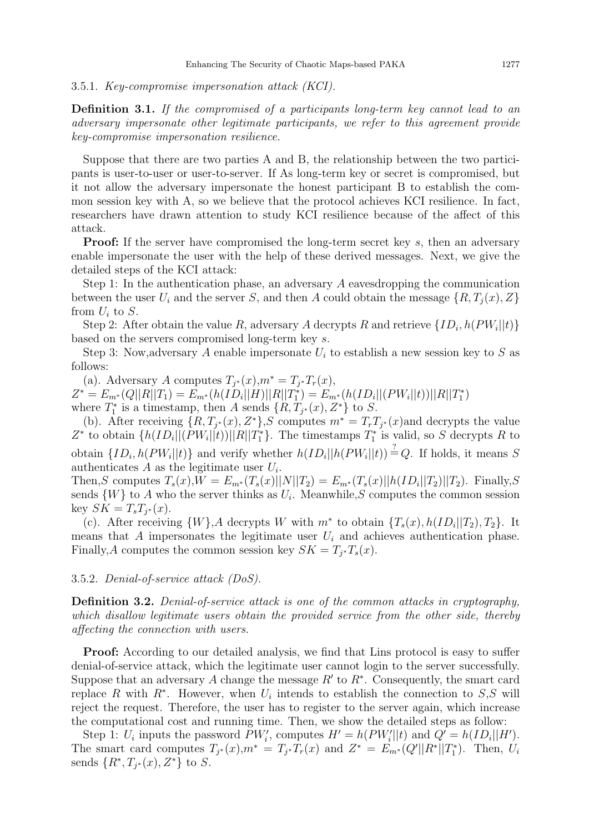#### 3.5.1. Key-compromise impersonation attack (KCI).

Definition 3.1. If the compromised of a participants long-term key cannot lead to an adversary impersonate other legitimate participants, we refer to this agreement provide key-compromise impersonation resilience.

Suppose that there are two parties A and B, the relationship between the two participants is user-to-user or user-to-server. If As long-term key or secret is compromised, but it not allow the adversary impersonate the honest participant B to establish the common session key with A, so we believe that the protocol achieves KCI resilience. In fact, researchers have drawn attention to study KCI resilience because of the affect of this attack.

**Proof:** If the server have compromised the long-term secret key s, then an adversary enable impersonate the user with the help of these derived messages. Next, we give the detailed steps of the KCI attack:

Step 1: In the authentication phase, an adversary A eavesdropping the communication between the user  $U_i$  and the server S, and then A could obtain the message  $\{R, T_i(x), Z\}$ from  $U_i$  to  $S$ .

Step 2: After obtain the value R, adversary A decrypts R and retrieve  $\{ID_i, h(PW_i||t)\}$ based on the servers compromised long-term key s.

Step 3: Now, adversary A enable impersonate  $U_i$  to establish a new session key to S as follows:

(a). Adversary A computes  $T_{j^*}(x), m^* = T_{j^*}T_r(x)$ ,  $Z^* = E_{m^*}(Q||R||T_1) = E_{m^*}(h(ID_i||H)||R||T_1^*) = E_{m^*}(h(ID_i||(PW_i||t))||R||T_1^*)$ where  $T_1^*$  is a timestamp, then A sends  $\{R, T_{j^*}(x), Z^*\}$  to S.

(b). After receiving  $\{R, T_{j^*}(x), Z^*\}$ , s computes  $m^* = T_rT_{j^*}(x)$  and decrypts the value Z<sup>\*</sup> to obtain  $\{h(ID_i||(PW_i||t))||R||T_1^*\}$ . The timestamps  $T_1^*$  is valid, so S decrypts R to obtain  $\{ID_i, h(PW_i||t)\}\$ and verify whether  $h(ID_i||h(PW_i||t)) \stackrel{?}{=} Q$ . If holds, it means S authenticates  $A$  as the legitimate user  $U_i$ .

Then,S computes  $T_s(x)$ , $W = E_{m^*}(T_s(x)||N||T_2) = E_{m^*}(T_s(x)||h(ID_i||T_2)||T_2)$ . Finally,S sends  $\{W\}$  to A who the server thinks as  $U_i$ . Meanwhile, S computes the common session key  $SK = T_sT_{j^*}(x)$ .

(c). After receiving  $\{W\}$ , A decrypts W with  $m^*$  to obtain  $\{T_s(x), h(ID_i||T_2), T_2\}$ . It means that A impersonates the legitimate user  $U_i$  and achieves authentication phase. Finally, A computes the common session key  $SK = T_{j^*}T_s(x)$ .

#### 3.5.2. Denial-of-service attack (DoS).

Definition 3.2. Denial-of-service attack is one of the common attacks in cryptography. which disallow legitimate users obtain the provided service from the other side, thereby affecting the connection with users.

Proof: According to our detailed analysis, we find that Lins protocol is easy to suffer denial-of-service attack, which the legitimate user cannot login to the server successfully. Suppose that an adversary A change the message  $R'$  to  $R^*$ . Consequently, the smart card replace R with  $R^*$ . However, when  $U_i$  intends to establish the connection to  $S, S$  will reject the request. Therefore, the user has to register to the server again, which increase the computational cost and running time. Then, we show the detailed steps as follow:

Step 1:  $U_i$  inputs the password  $PW'_i$ , computes  $H' = h(PW'_i||t)$  and  $Q' = h(ID_i||H').$ The smart card computes  $T_{j^*}(x), m^* = T_{j^*}T_r(x)$  and  $Z^* = E_{m^*}(Q'||R^*||T_1^*)$ . Then,  $U_i$ sends  $\{R^*, T_{j^*}(x), Z^*\}$  to S.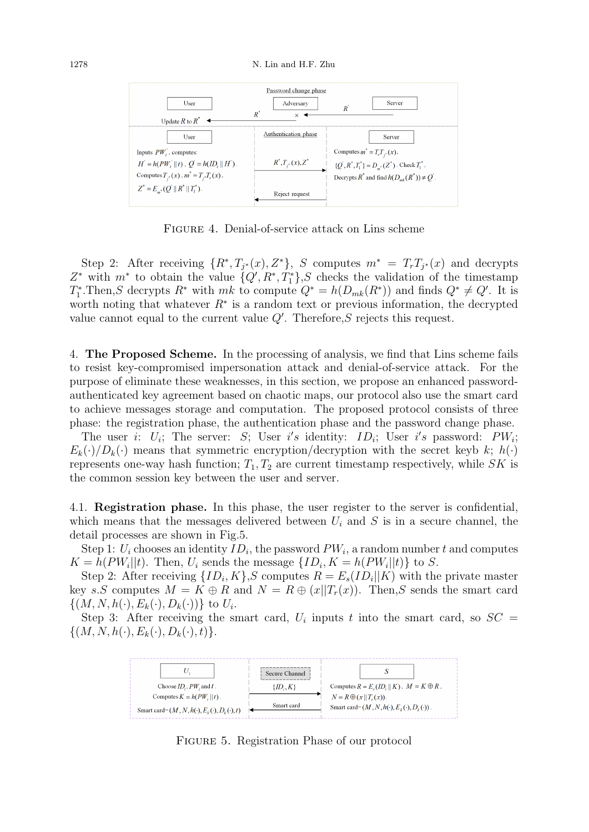

Figure 4. Denial-of-service attack on Lins scheme

Step 2: After receiving  $\{R^*, T_{j^*}(x), Z^*\}, S$  computes  $m^* = T_rT_{j^*}(x)$  and decrypts  $Z^*$  with  $m^*$  to obtain the value  $\{Q', R^*, T_1^*\}$ , S checks the validation of the timestamp  $T_1^*$ . Then, S decrypts  $R^*$  with  $mk$  to compute  $Q^* = h(D_{mk}(R^*))$  and finds  $Q^* \neq Q'$ . It is worth noting that whatever  $R^*$  is a random text or previous information, the decrypted value cannot equal to the current value  $Q'$ . Therefore,  $S$  rejects this request.

4. The Proposed Scheme. In the processing of analysis, we find that Lins scheme fails to resist key-compromised impersonation attack and denial-of-service attack. For the purpose of eliminate these weaknesses, in this section, we propose an enhanced passwordauthenticated key agreement based on chaotic maps, our protocol also use the smart card to achieve messages storage and computation. The proposed protocol consists of three phase: the registration phase, the authentication phase and the password change phase.

The user *i*:  $U_i$ ; The server: *S*; User *i's* identity: *ID<sub>i</sub>*; User *i's* password: *PW<sub>i</sub>*;  $E_k(\cdot)/D_k(\cdot)$  means that symmetric encryption/decryption with the secret keyb k;  $h(\cdot)$ represents one-way hash function;  $T_1, T_2$  are current timestamp respectively, while SK is the common session key between the user and server.

4.1. Registration phase. In this phase, the user register to the server is confidential, which means that the messages delivered between  $U_i$  and S is in a secure channel, the detail processes are shown in Fig.5.

Step 1:  $U_i$  chooses an identity  $ID_i$ , the password  $PW_i$ , a random number t and computes  $K = h(PW_i||t)$ . Then,  $U_i$  sends the message  $\{ID_i, K = h(PW_i||t)\}\$ to S.

Step 2: After receiving  $\{ID_i, K\}$ , S computes  $R = E_s(ID_i || K)$  with the private master key s.S computes  $M = K \oplus R$  and  $N = R \oplus (x||T_r(x))$ . Then, S sends the smart card  $\{(M, N, h(\cdot), E_k(\cdot), D_k(\cdot))\}$  to  $U_i$ .

Step 3: After receiving the smart card,  $U_i$  inputs t into the smart card, so  $SC =$  $\{(M, N, h(\cdot), E_k(\cdot), D_k(\cdot), t)\}.$ 



Figure 5. Registration Phase of our protocol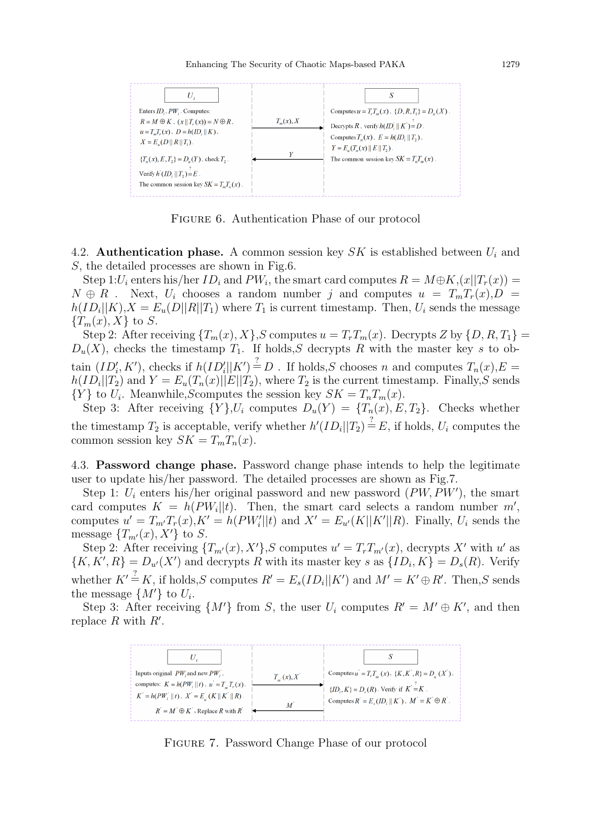

Figure 6. Authentication Phase of our protocol

4.2. **Authentication phase.** A common session key  $SK$  is established between  $U_i$  and S, the detailed processes are shown in Fig.6.

Step 1: $U_i$  enters his/her  $ID_i$  and  $PW_i$ , the smart card computes  $R = M \oplus K$ ,  $(x||T_r(x)) =$  $N \oplus R$ . Next,  $U_i$  chooses a random number j and computes  $u = T_m T_r(x)$ ,  $D =$  $h(ID_i||K), X = E_u(D||R||T_1)$  where  $T_1$  is current timestamp. Then,  $U_i$  sends the message  ${T_m(x), X}$  to S.

Step 2: After receiving  $\{T_m(x), X\}$ , S computes  $u = T_rT_m(x)$ . Decrypts Z by  $\{D, R, T_1\}$  =  $D_u(X)$ , checks the timestamp  $T_1$ . If holds, S decrypts R with the master key s to obtain  $(ID'_i, K')$ , checks if  $h(ID'_i|| K') \stackrel{?}{=} D$ . If holds, S chooses n and computes  $T_n(x)$ ,  $E =$  $h(ID_i||T_2)$  and  $Y = E_u(T_n(x)||E||T_2)$ , where  $T_2$  is the current timestamp. Finally, S sends  $\{Y\}$  to  $U_i$ . Meanwhile, Scomputes the session key  $SK = T_nT_m(x)$ .

Step 3: After receiving  $\{Y\}$ ,  $U_i$  computes  $D_u(Y) = \{T_n(x), E, T_2\}$ . Checks whether the timestamp  $T_2$  is acceptable, verify whether  $h'(ID_i||T_2) \stackrel{?}{=} E$ , if holds,  $U_i$  computes the common session key  $SK = T_m T_n(x)$ .

4.3. Password change phase. Password change phase intends to help the legitimate user to update his/her password. The detailed processes are shown as Fig.7.

Step 1:  $U_i$  enters his/her original password and new password  $(PW, PW')$ , the smart card computes  $K = h(PW_i||t)$ . Then, the smart card selects a random number m', computes  $u' = T_{m'}T_r(x), K' = h(PW_i'||t)$  and  $X' = E_{u'}(K||K'||R)$ . Finally,  $U_i$  sends the message  $\{T_{m'}(x), X'\}$  to S.

Step 2: After receiving  $\{T_{m'}(x), X'\}$ ,S computes  $u' = T_rT_{m'}(x)$ , decrypts X' with u' as  $\{K, K', R\} = D_{u'}(X')$  and decrypts R with its master key s as  $\{ID_i, K\} = D_s(R)$ . Verify whether  $K' \stackrel{?}{=} K$ , if holds, S computes  $R' = E_s(ID_i || K')$  and  $M' = K' \oplus R'$ . Then, S sends the message  $\{M'\}$  to  $U_i$ .

Step 3: After receiving  $\{M'\}$  from S, the user  $U_i$  computes  $R' = M' \oplus K'$ , and then replace  $R$  with  $R'$ .



Figure 7. Password Change Phase of our protocol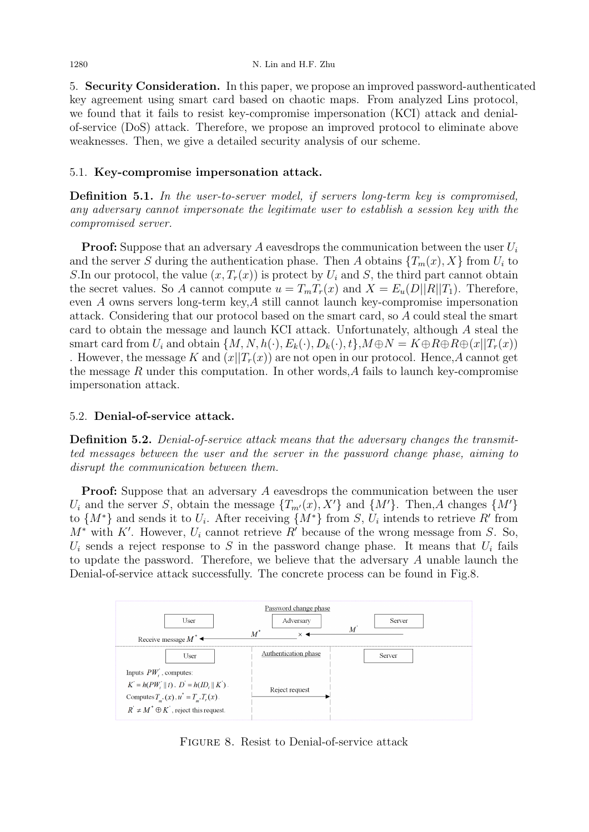5. Security Consideration. In this paper, we propose an improved password-authenticated key agreement using smart card based on chaotic maps. From analyzed Lins protocol, we found that it fails to resist key-compromise impersonation (KCI) attack and denialof-service (DoS) attack. Therefore, we propose an improved protocol to eliminate above weaknesses. Then, we give a detailed security analysis of our scheme.

# 5.1. Key-compromise impersonation attack.

Definition 5.1. In the user-to-server model, if servers long-term key is compromised, any adversary cannot impersonate the legitimate user to establish a session key with the compromised server.

**Proof:** Suppose that an adversary A eavesdrops the communication between the user  $U_i$ and the server S during the authentication phase. Then A obtains  $\{T_m(x), X\}$  from  $U_i$  to S.In our protocol, the value  $(x, T_r(x))$  is protect by  $U_i$  and S, the third part cannot obtain the secret values. So A cannot compute  $u = T_mT_r(x)$  and  $X = E_u(D||R||T_1)$ . Therefore, even A owns servers long-term key,A still cannot launch key-compromise impersonation attack. Considering that our protocol based on the smart card, so A could steal the smart card to obtain the message and launch KCI attack. Unfortunately, although A steal the smart card from  $U_i$  and obtain  $\{M, N, h(\cdot), E_k(\cdot), D_k(\cdot), t\}$ ,  $M \oplus N = K \oplus R \oplus R \oplus (x||T_r(x))$ . However, the message K and  $(x||T_r(x))$  are not open in our protocol. Hence, A cannot get the message  $R$  under this computation. In other words,  $A$  fails to launch key-compromise impersonation attack.

# 5.2. Denial-of-service attack.

Definition 5.2. Denial-of-service attack means that the adversary changes the transmitted messages between the user and the server in the password change phase, aiming to disrupt the communication between them.

Proof: Suppose that an adversary A eavesdrops the communication between the user  $U_i$  and the server S, obtain the message  $\{T_{m'}(x), X'\}$  and  $\{M'\}$ . Then,A changes  $\{M'\}$ to  $\{M^*\}\$ and sends it to  $U_i$ . After receiving  $\{M^*\}\$ from  $S, U_i$  intends to retrieve  $R'$  from  $M^*$  with K'. However,  $U_i$  cannot retrieve R' because of the wrong message from S. So,  $U_i$  sends a reject response to S in the password change phase. It means that  $U_i$  fails to update the password. Therefore, we believe that the adversary A unable launch the Denial-of-service attack successfully. The concrete process can be found in Fig.8.



Figure 8. Resist to Denial-of-service attack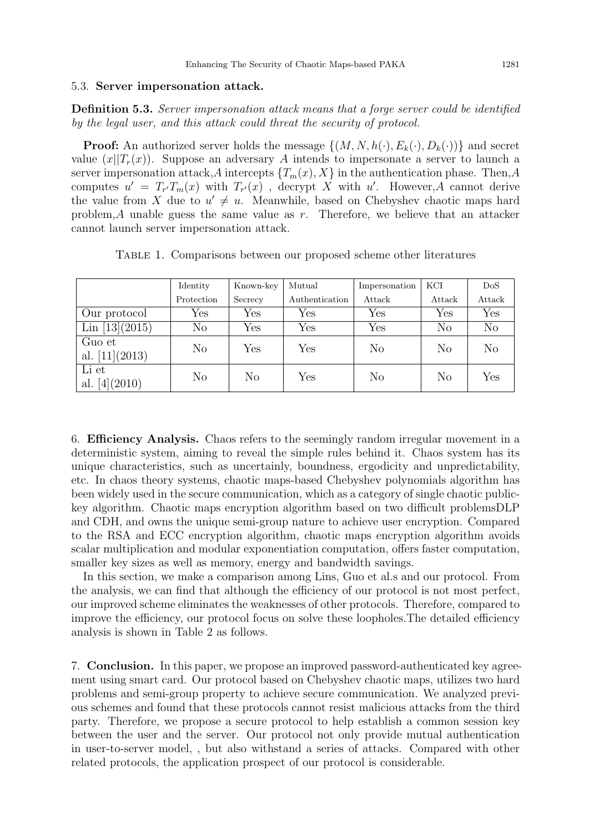# 5.3. Server impersonation attack.

Definition 5.3. Server impersonation attack means that a forge server could be identified by the legal user, and this attack could threat the security of protocol.

**Proof:** An authorized server holds the message  $\{(M, N, h(\cdot), E_k(\cdot), D_k(\cdot))\}$  and secret value  $(x||T_r(x))$ . Suppose an adversary A intends to impersonate a server to launch a server impersonation attack,A intercepts  $\{T_m(x), X\}$  in the authentication phase. Then,A computes  $u' = T_{r'}T_m(x)$  with  $T_{r'}(x)$ , decrypt X with u'. However, A cannot derive the value from X due to  $u' \neq u$ . Meanwhile, based on Chebyshev chaotic maps hard problem, A unable guess the same value as  $r$ . Therefore, we believe that an attacker cannot launch server impersonation attack.

Table 1. Comparisons between our proposed scheme other literatures

|                  | Identity       | Known-key            | Mutual               | Impersonation        | KCI                  | DoS            |  |
|------------------|----------------|----------------------|----------------------|----------------------|----------------------|----------------|--|
|                  | Protection     | Secrecy              | Authentication       | Attack               | Attack               | Attack         |  |
| Our protocol     | Yes            | Yes                  | $\operatorname{Yes}$ | $\operatorname{Yes}$ | $\operatorname{Yes}$ | Yes            |  |
| Lin $[13](2015)$ | $\rm No$       | $\operatorname{Yes}$ | Yes                  | Yes                  | $\rm No$             | N <sub>o</sub> |  |
| Guo et           | N <sub>o</sub> | Yes                  | $\operatorname{Yes}$ | No                   | N <sub>o</sub>       | N <sub>o</sub> |  |
| al. $[11](2013)$ |                |                      |                      |                      |                      |                |  |
| Li et            | N <sub>o</sub> | No                   | $\operatorname{Yes}$ | N <sub>o</sub>       | N <sub>o</sub>       | Yes            |  |
| al. $[4](2010)$  |                |                      |                      |                      |                      |                |  |

6. Efficiency Analysis. Chaos refers to the seemingly random irregular movement in a deterministic system, aiming to reveal the simple rules behind it. Chaos system has its unique characteristics, such as uncertainly, boundness, ergodicity and unpredictability, etc. In chaos theory systems, chaotic maps-based Chebyshev polynomials algorithm has been widely used in the secure communication, which as a category of single chaotic publickey algorithm. Chaotic maps encryption algorithm based on two difficult problemsDLP and CDH, and owns the unique semi-group nature to achieve user encryption. Compared to the RSA and ECC encryption algorithm, chaotic maps encryption algorithm avoids scalar multiplication and modular exponentiation computation, offers faster computation, smaller key sizes as well as memory, energy and bandwidth savings.

In this section, we make a comparison among Lins, Guo et al.s and our protocol. From the analysis, we can find that although the efficiency of our protocol is not most perfect, our improved scheme eliminates the weaknesses of other protocols. Therefore, compared to improve the efficiency, our protocol focus on solve these loopholes.The detailed efficiency analysis is shown in Table 2 as follows.

7. Conclusion. In this paper, we propose an improved password-authenticated key agreement using smart card. Our protocol based on Chebyshev chaotic maps, utilizes two hard problems and semi-group property to achieve secure communication. We analyzed previous schemes and found that these protocols cannot resist malicious attacks from the third party. Therefore, we propose a secure protocol to help establish a common session key between the user and the server. Our protocol not only provide mutual authentication in user-to-server model, , but also withstand a series of attacks. Compared with other related protocols, the application prospect of our protocol is considerable.